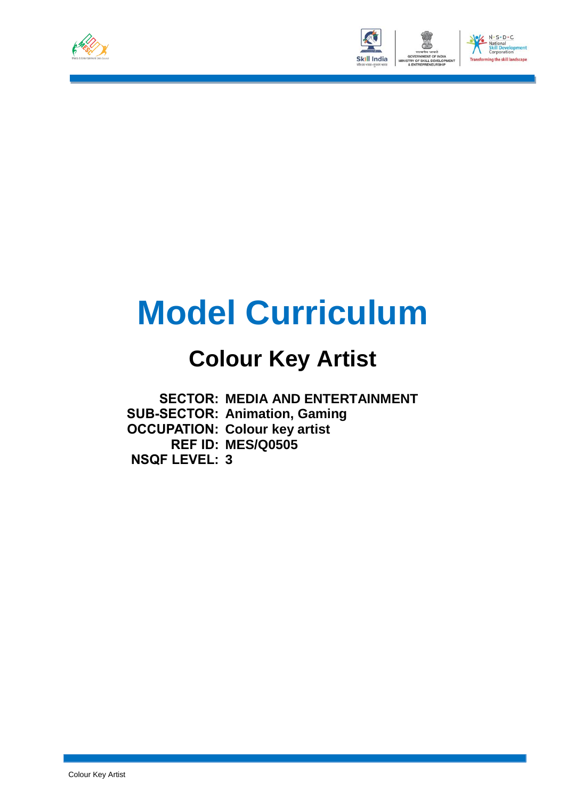



# **Model Curriculum**

## **Colour Key Artist**

**SECTOR: MEDIA AND ENTERTAINMENT SUB-SECTOR: Animation, Gaming OCCUPATION: Colour key artist REF ID: MES/Q0505 NSQF LEVEL: 3**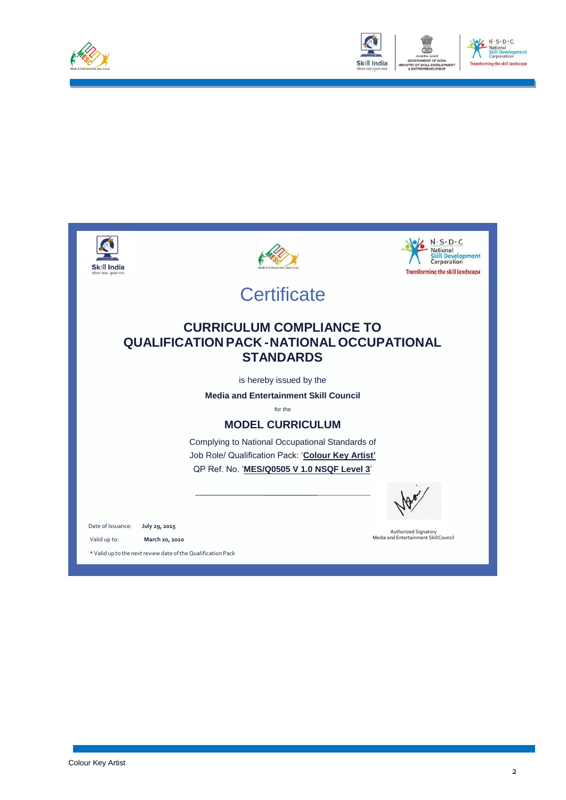



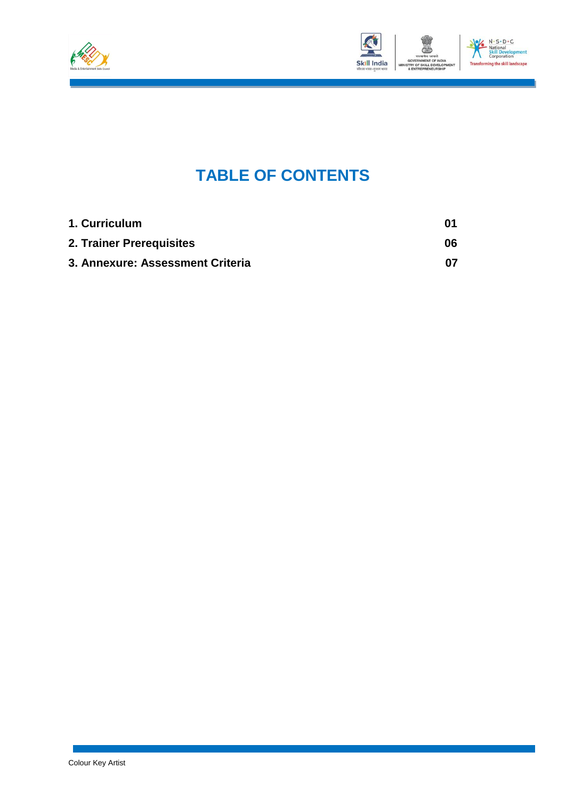



### **TABLE OF CONTENTS**

| 1. Curriculum                    | 01 |
|----------------------------------|----|
| 2. Trainer Prerequisites         | 06 |
| 3. Annexure: Assessment Criteria | በ7 |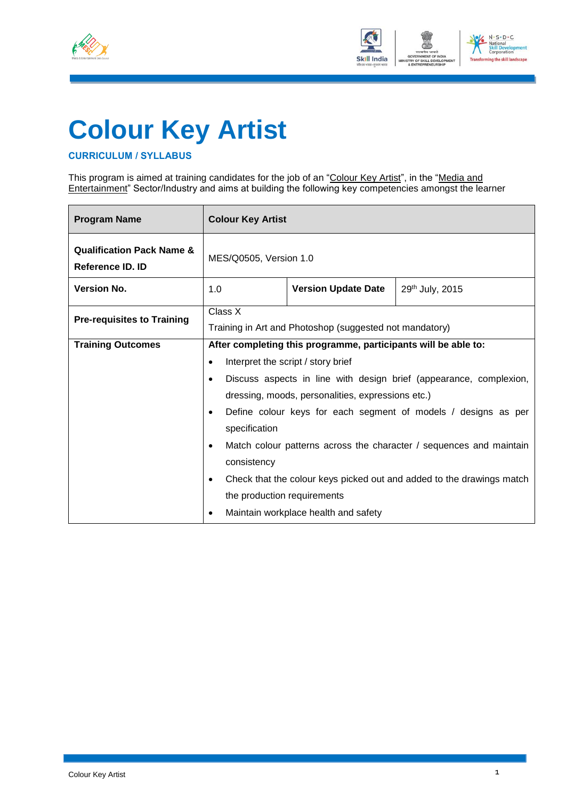



# **Colour Key Artist**

### **CURRICULUM / SYLLABUS**

This program is aimed at training candidates for the job of an "Colour Key Artist", in the "Media and Entertainment" Sector/Industry and aims at building the following key competencies amongst the learner

| <b>Program Name</b>                                      | <b>Colour Key Artist</b>                                           |                                                                       |                                                                     |  |  |
|----------------------------------------------------------|--------------------------------------------------------------------|-----------------------------------------------------------------------|---------------------------------------------------------------------|--|--|
| <b>Qualification Pack Name &amp;</b><br>Reference ID. ID | MES/Q0505, Version 1.0                                             |                                                                       |                                                                     |  |  |
| <b>Version No.</b>                                       | 1.0                                                                | <b>Version Update Date</b>                                            | 29th July, 2015                                                     |  |  |
| <b>Pre-requisites to Training</b>                        | Class X<br>Training in Art and Photoshop (suggested not mandatory) |                                                                       |                                                                     |  |  |
| <b>Training Outcomes</b>                                 |                                                                    | After completing this programme, participants will be able to:        |                                                                     |  |  |
|                                                          |                                                                    | Interpret the script / story brief                                    |                                                                     |  |  |
|                                                          |                                                                    | Discuss aspects in line with design brief (appearance, complexion,    |                                                                     |  |  |
|                                                          |                                                                    | dressing, moods, personalities, expressions etc.)                     |                                                                     |  |  |
|                                                          | $\bullet$                                                          |                                                                       | Define colour keys for each segment of models / designs as per      |  |  |
|                                                          | specification                                                      |                                                                       |                                                                     |  |  |
|                                                          | $\bullet$                                                          |                                                                       | Match colour patterns across the character / sequences and maintain |  |  |
|                                                          | consistency                                                        |                                                                       |                                                                     |  |  |
|                                                          |                                                                    | Check that the colour keys picked out and added to the drawings match |                                                                     |  |  |
|                                                          | the production requirements                                        |                                                                       |                                                                     |  |  |
|                                                          | Maintain workplace health and safety                               |                                                                       |                                                                     |  |  |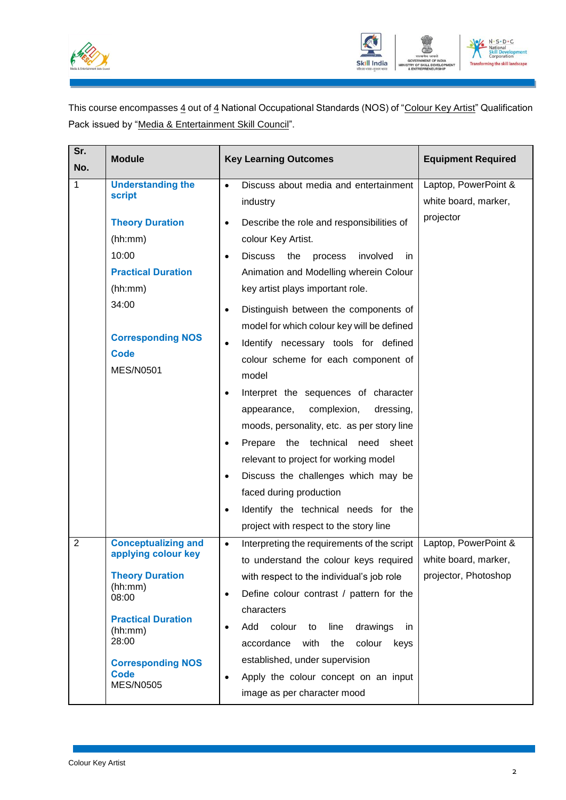



This course encompasses 4 out of 4 National Occupational Standards (NOS) of "Colour Key Artist" Qualification Pack issued by "Media & Entertainment Skill Council".

| Sr.<br>No.     | <b>Module</b>                                                                                                                                              | <b>Key Learning Outcomes</b>                                                                                                                                                                                                                                                                                                                                                                                                                                                                                                                                                                                                                                                                                                                                            | <b>Equipment Required</b>                    |
|----------------|------------------------------------------------------------------------------------------------------------------------------------------------------------|-------------------------------------------------------------------------------------------------------------------------------------------------------------------------------------------------------------------------------------------------------------------------------------------------------------------------------------------------------------------------------------------------------------------------------------------------------------------------------------------------------------------------------------------------------------------------------------------------------------------------------------------------------------------------------------------------------------------------------------------------------------------------|----------------------------------------------|
| 1              | <b>Understanding the</b><br><b>script</b>                                                                                                                  | Discuss about media and entertainment<br>$\bullet$<br>industry                                                                                                                                                                                                                                                                                                                                                                                                                                                                                                                                                                                                                                                                                                          | Laptop, PowerPoint &<br>white board, marker, |
|                | <b>Theory Duration</b><br>(hh:mm)<br>10:00<br><b>Practical Duration</b><br>(hh:mm)<br>34:00<br><b>Corresponding NOS</b><br><b>Code</b><br><b>MES/N0501</b> | Describe the role and responsibilities of<br>$\bullet$<br>colour Key Artist.<br><b>Discuss</b><br>the<br>involved<br>process<br>in.<br>$\bullet$<br>Animation and Modelling wherein Colour<br>key artist plays important role.<br>Distinguish between the components of<br>$\bullet$<br>model for which colour key will be defined<br>Identify necessary tools for defined<br>$\bullet$<br>colour scheme for each component of<br>model<br>Interpret the sequences of character<br>$\bullet$<br>complexion,<br>dressing,<br>appearance,<br>moods, personality, etc. as per story line<br>Prepare<br>the technical<br>sheet<br>need<br>$\bullet$<br>relevant to project for working model<br>Discuss the challenges which may be<br>$\bullet$<br>faced during production | projector                                    |
|                |                                                                                                                                                            | Identify the technical needs for the<br>$\bullet$<br>project with respect to the story line                                                                                                                                                                                                                                                                                                                                                                                                                                                                                                                                                                                                                                                                             |                                              |
| $\overline{2}$ | <b>Conceptualizing and</b><br>applying colour key                                                                                                          | Interpreting the requirements of the script<br>$\bullet$<br>to understand the colour keys required                                                                                                                                                                                                                                                                                                                                                                                                                                                                                                                                                                                                                                                                      | Laptop, PowerPoint &<br>white board, marker, |
|                | <b>Theory Duration</b><br>(hh:mm)<br>08:00                                                                                                                 | with respect to the individual's job role<br>Define colour contrast / pattern for the<br>$\bullet$                                                                                                                                                                                                                                                                                                                                                                                                                                                                                                                                                                                                                                                                      | projector, Photoshop                         |
|                | <b>Practical Duration</b><br>(hh:mm)<br>28:00                                                                                                              | characters<br>Add<br>colour<br>drawings<br>line<br>to<br>in<br>$\bullet$<br>accordance<br>colour<br>with<br>the<br>keys                                                                                                                                                                                                                                                                                                                                                                                                                                                                                                                                                                                                                                                 |                                              |
|                | <b>Corresponding NOS</b><br><b>Code</b><br><b>MES/N0505</b>                                                                                                | established, under supervision<br>Apply the colour concept on an input<br>$\bullet$<br>image as per character mood                                                                                                                                                                                                                                                                                                                                                                                                                                                                                                                                                                                                                                                      |                                              |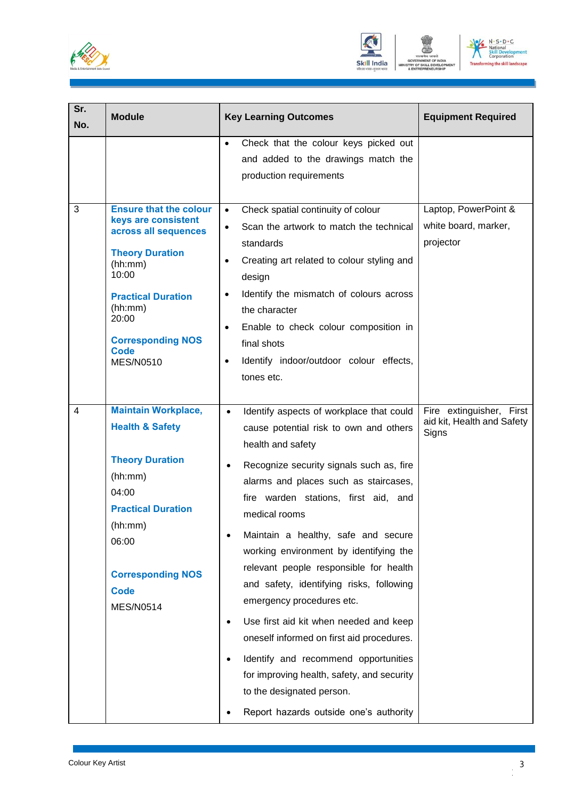





| Sr.<br>No. | <b>Module</b>                                                                                                                                                                                                                              | <b>Key Learning Outcomes</b>                                                                                                                                                                                                                                                                                                                                                                                                                                                                                                                                                                                                                                                                                                                                      | <b>Equipment Required</b>                                       |
|------------|--------------------------------------------------------------------------------------------------------------------------------------------------------------------------------------------------------------------------------------------|-------------------------------------------------------------------------------------------------------------------------------------------------------------------------------------------------------------------------------------------------------------------------------------------------------------------------------------------------------------------------------------------------------------------------------------------------------------------------------------------------------------------------------------------------------------------------------------------------------------------------------------------------------------------------------------------------------------------------------------------------------------------|-----------------------------------------------------------------|
|            |                                                                                                                                                                                                                                            | Check that the colour keys picked out<br>$\bullet$<br>and added to the drawings match the<br>production requirements                                                                                                                                                                                                                                                                                                                                                                                                                                                                                                                                                                                                                                              |                                                                 |
| 3          | <b>Ensure that the colour</b><br>keys are consistent<br>across all sequences<br><b>Theory Duration</b><br>(hh:mm)<br>10:00<br><b>Practical Duration</b><br>(hh:mm)<br>20:00<br><b>Corresponding NOS</b><br><b>Code</b><br><b>MES/N0510</b> | Check spatial continuity of colour<br>$\bullet$<br>Scan the artwork to match the technical<br>$\bullet$<br>standards<br>Creating art related to colour styling and<br>٠<br>design<br>Identify the mismatch of colours across<br>٠<br>the character<br>Enable to check colour composition in<br>٠<br>final shots<br>Identify indoor/outdoor colour effects,<br>٠<br>tones etc.                                                                                                                                                                                                                                                                                                                                                                                     | Laptop, PowerPoint &<br>white board, marker,<br>projector       |
| 4          | <b>Maintain Workplace,</b><br><b>Health &amp; Safety</b><br><b>Theory Duration</b><br>(hh:mm)<br>04:00<br><b>Practical Duration</b><br>(hh:mm)<br>06:00<br><b>Corresponding NOS</b><br><b>Code</b><br><b>MES/N0514</b>                     | Identify aspects of workplace that could<br>$\bullet$<br>cause potential risk to own and others<br>health and safety<br>Recognize security signals such as, fire<br>$\bullet$<br>alarms and places such as staircases,<br>fire warden stations, first aid, and<br>medical rooms<br>Maintain a healthy, safe and secure<br>working environment by identifying the<br>relevant people responsible for health<br>and safety, identifying risks, following<br>emergency procedures etc.<br>Use first aid kit when needed and keep<br>$\bullet$<br>oneself informed on first aid procedures.<br>Identify and recommend opportunities<br>$\bullet$<br>for improving health, safety, and security<br>to the designated person.<br>Report hazards outside one's authority | Fire extinguisher, First<br>aid kit, Health and Safety<br>Signs |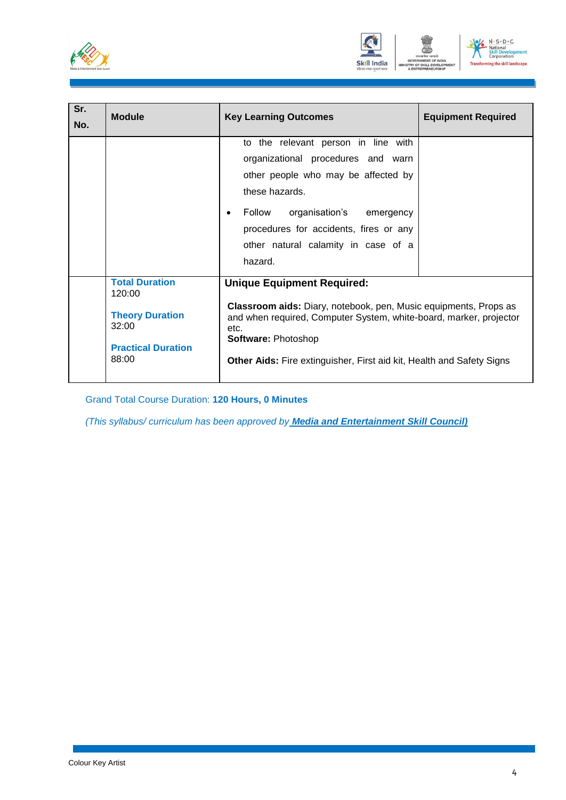





| Sr.<br>No. | <b>Module</b>                                                                                            | <b>Key Learning Outcomes</b>                                                                                                                                                                                                                                                                      | <b>Equipment Required</b> |
|------------|----------------------------------------------------------------------------------------------------------|---------------------------------------------------------------------------------------------------------------------------------------------------------------------------------------------------------------------------------------------------------------------------------------------------|---------------------------|
|            |                                                                                                          | to the relevant person in line with<br>organizational procedures and warn<br>other people who may be affected by<br>these hazards.<br>organisation's emergency<br>Follow<br>$\bullet$<br>procedures for accidents, fires or any<br>other natural calamity in case of a<br>hazard.                 |                           |
|            | <b>Total Duration</b><br>120:00<br><b>Theory Duration</b><br>32:00<br><b>Practical Duration</b><br>88:00 | <b>Unique Equipment Required:</b><br><b>Classroom aids:</b> Diary, notebook, pen, Music equipments, Props as<br>and when required, Computer System, white-board, marker, projector<br>etc.<br>Software: Photoshop<br><b>Other Aids:</b> Fire extinguisher, First aid kit, Health and Safety Signs |                           |

Grand Total Course Duration: **120 Hours, 0 Minutes**

*(This syllabus/ curriculum has been approved by Media and Entertainment Skill Council)*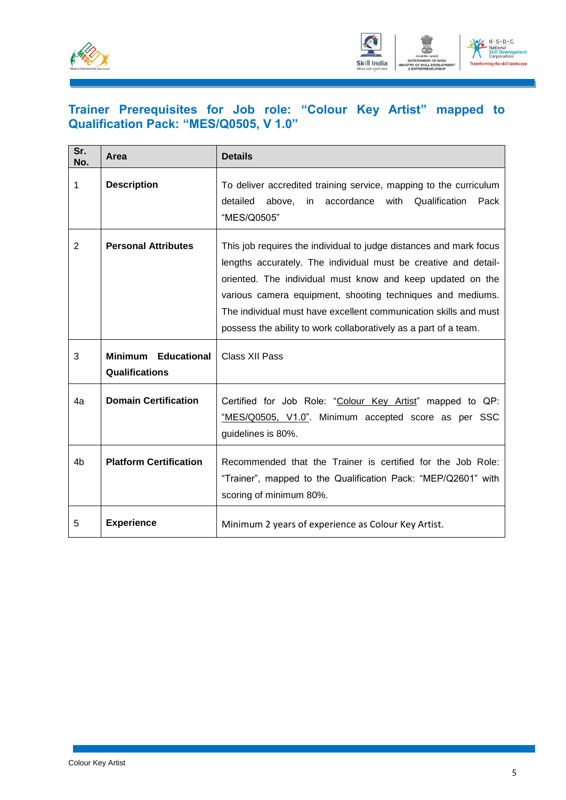



### **Trainer Prerequisites for Job role: "Colour Key Artist" mapped to Qualification Pack: "MES/Q0505, V 1.0"**

| Sr.<br>No. | Area                                         | <b>Details</b>                                                                                                                                                                                                                                                                                                                                                                                            |
|------------|----------------------------------------------|-----------------------------------------------------------------------------------------------------------------------------------------------------------------------------------------------------------------------------------------------------------------------------------------------------------------------------------------------------------------------------------------------------------|
| 1          | <b>Description</b>                           | To deliver accredited training service, mapping to the curriculum<br>detailed<br>above,<br>with<br>Qualification<br>Pack<br>in<br>accordance<br>"MES/Q0505"                                                                                                                                                                                                                                               |
| 2          | <b>Personal Attributes</b>                   | This job requires the individual to judge distances and mark focus<br>lengths accurately. The individual must be creative and detail-<br>oriented. The individual must know and keep updated on the<br>various camera equipment, shooting techniques and mediums.<br>The individual must have excellent communication skills and must<br>possess the ability to work collaboratively as a part of a team. |
| 3          | <b>Minimum Educational</b><br>Qualifications | Class XII Pass                                                                                                                                                                                                                                                                                                                                                                                            |
| 4a         | <b>Domain Certification</b>                  | Certified for Job Role: "Colour Key Artist" mapped to QP:<br>"MES/Q0505, V1.0". Minimum accepted score as per SSC<br>guidelines is 80%.                                                                                                                                                                                                                                                                   |
| 4b         | <b>Platform Certification</b>                | Recommended that the Trainer is certified for the Job Role:<br>"Trainer", mapped to the Qualification Pack: "MEP/Q2601" with<br>scoring of minimum 80%.                                                                                                                                                                                                                                                   |
| 5          | <b>Experience</b>                            | Minimum 2 years of experience as Colour Key Artist.                                                                                                                                                                                                                                                                                                                                                       |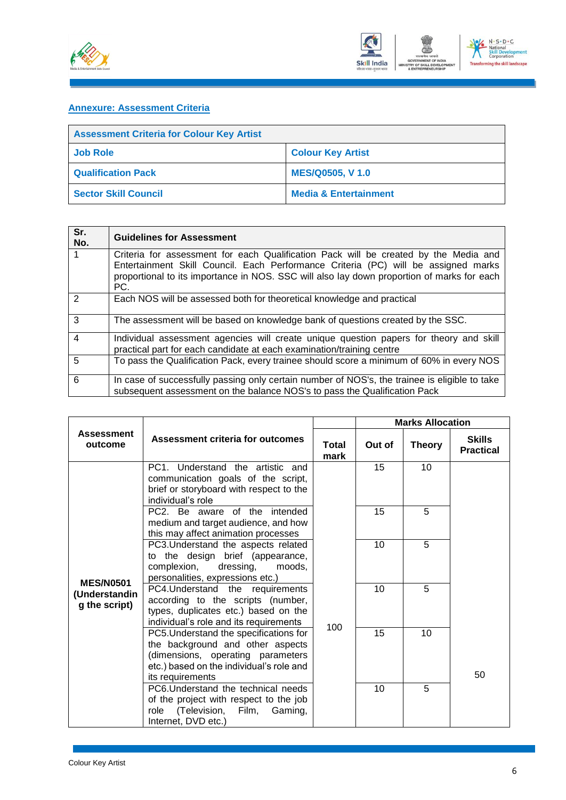



### **Annexure: Assessment Criteria**

| <b>Assessment Criteria for Colour Key Artist</b> |                                  |  |
|--------------------------------------------------|----------------------------------|--|
| <b>Job Role</b>                                  | <b>Colour Key Artist</b>         |  |
| <b>Qualification Pack</b>                        | <b>MES/Q0505, V1.0</b>           |  |
| <b>Sector Skill Council</b>                      | <b>Media &amp; Entertainment</b> |  |

| Sr.<br>No.    | <b>Guidelines for Assessment</b>                                                                                                                                                                                                                                                |
|---------------|---------------------------------------------------------------------------------------------------------------------------------------------------------------------------------------------------------------------------------------------------------------------------------|
|               | Criteria for assessment for each Qualification Pack will be created by the Media and<br>Entertainment Skill Council. Each Performance Criteria (PC) will be assigned marks<br>proportional to its importance in NOS. SSC will also lay down proportion of marks for each<br>PC. |
| $\mathcal{P}$ | Each NOS will be assessed both for theoretical knowledge and practical                                                                                                                                                                                                          |
| 3             | The assessment will be based on knowledge bank of questions created by the SSC.                                                                                                                                                                                                 |
| 4             | Individual assessment agencies will create unique question papers for theory and skill<br>practical part for each candidate at each examination/training centre                                                                                                                 |
| 5             | To pass the Qualification Pack, every trainee should score a minimum of 60% in every NOS                                                                                                                                                                                        |
| 6             | In case of successfully passing only certain number of NOS's, the trainee is eligible to take<br>subsequent assessment on the balance NOS's to pass the Qualification Pack                                                                                                      |

|                                                    |                                                                                                                                                                                 |               |        | <b>Marks Allocation</b> |                                   |
|----------------------------------------------------|---------------------------------------------------------------------------------------------------------------------------------------------------------------------------------|---------------|--------|-------------------------|-----------------------------------|
| <b>Assessment</b><br>outcome                       | Assessment criteria for outcomes                                                                                                                                                | Total<br>mark | Out of | <b>Theory</b>           | <b>Skills</b><br><b>Practical</b> |
|                                                    | PC1. Understand the artistic and<br>communication goals of the script,<br>brief or storyboard with respect to the<br>individual's role                                          |               | 15     | 10                      |                                   |
|                                                    | PC2. Be aware of the intended<br>medium and target audience, and how<br>this may affect animation processes                                                                     |               | 15     | 5                       |                                   |
|                                                    | PC3. Understand the aspects related<br>to the design brief (appearance,<br>complexion,<br>dressing,<br>moods,<br>personalities, expressions etc.)                               |               | 10     | 5                       |                                   |
| <b>MES/N0501</b><br>(Understandin<br>g the script) | PC4. Understand the requirements<br>according to the scripts (number,<br>types, duplicates etc.) based on the<br>individual's role and its requirements                         |               | 10     | 5                       |                                   |
|                                                    | PC5. Understand the specifications for<br>the background and other aspects<br>(dimensions, operating parameters<br>etc.) based on the individual's role and<br>its requirements | 100           | 15     | 10                      | 50                                |
|                                                    | PC6. Understand the technical needs<br>of the project with respect to the job<br>(Television, Film, Gaming,<br>role<br>Internet, DVD etc.)                                      |               | 10     | 5                       |                                   |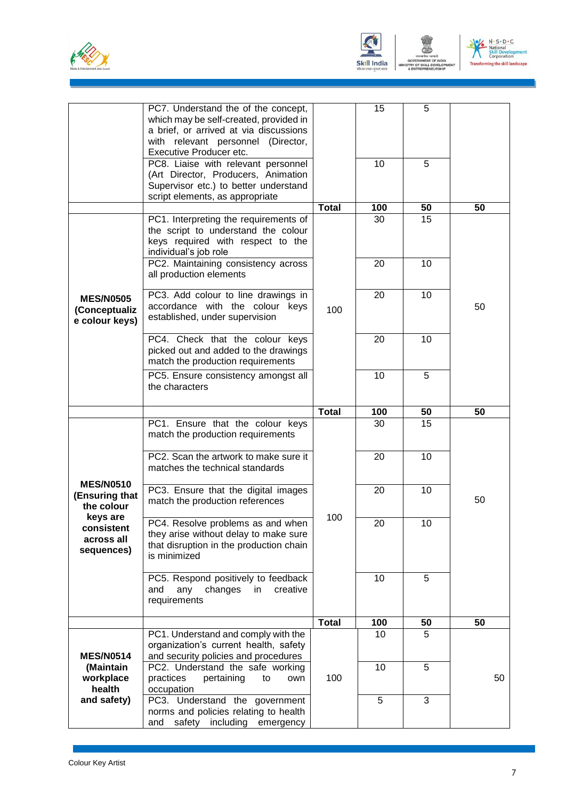





|                                                     | PC7. Understand the of the concept,<br>which may be self-created, provided in<br>a brief, or arrived at via discussions<br>with relevant personnel (Director,<br>Executive Producer etc. |              | 15  | 5  |    |
|-----------------------------------------------------|------------------------------------------------------------------------------------------------------------------------------------------------------------------------------------------|--------------|-----|----|----|
|                                                     | PC8. Liaise with relevant personnel<br>(Art Director, Producers, Animation<br>Supervisor etc.) to better understand<br>script elements, as appropriate                                   |              | 10  | 5  |    |
|                                                     |                                                                                                                                                                                          | <b>Total</b> | 100 | 50 | 50 |
|                                                     | PC1. Interpreting the requirements of<br>the script to understand the colour<br>keys required with respect to the<br>individual's job role                                               |              | 30  | 15 |    |
|                                                     | PC2. Maintaining consistency across<br>all production elements                                                                                                                           |              | 20  | 10 |    |
| <b>MES/N0505</b><br>(Conceptualiz<br>e colour keys) | PC3. Add colour to line drawings in<br>accordance with the colour keys<br>established, under supervision                                                                                 | 100          | 20  | 10 | 50 |
|                                                     | PC4. Check that the colour keys<br>picked out and added to the drawings<br>match the production requirements                                                                             |              | 20  | 10 |    |
|                                                     | PC5. Ensure consistency amongst all<br>the characters                                                                                                                                    |              | 10  | 5  |    |
|                                                     |                                                                                                                                                                                          | <b>Total</b> | 100 | 50 | 50 |
|                                                     | PC1. Ensure that the colour keys<br>match the production requirements                                                                                                                    |              | 30  | 15 |    |
|                                                     | PC2. Scan the artwork to make sure it<br>matches the technical standards                                                                                                                 |              | 20  | 10 |    |
| <b>MES/N0510</b><br>(Ensuring that<br>the colour    | PC3. Ensure that the digital images<br>match the production references                                                                                                                   |              | 20  | 10 | 50 |
| keys are<br>consistent<br>across all<br>sequences)  | PC4. Resolve problems as and when<br>they arise without delay to make sure<br>that disruption in the production chain<br>is minimized                                                    | 100          | 20  | 10 |    |
|                                                     | PC5. Respond positively to feedback<br>creative<br>any<br>changes<br>in<br>and<br>requirements                                                                                           |              | 10  | 5  |    |
|                                                     |                                                                                                                                                                                          | <b>Total</b> | 100 | 50 | 50 |
| <b>MES/N0514</b>                                    | PC1. Understand and comply with the<br>organization's current health, safety<br>and security policies and procedures                                                                     |              | 10  | 5  |    |
| (Maintain<br>workplace<br>health                    | PC2. Understand the safe working<br>practices<br>pertaining<br>to<br>own<br>occupation                                                                                                   | 100          | 10  | 5  | 50 |
| and safety)                                         | PC3. Understand the government<br>norms and policies relating to health<br>including emergency<br>and<br>safety                                                                          |              | 5   | 3  |    |